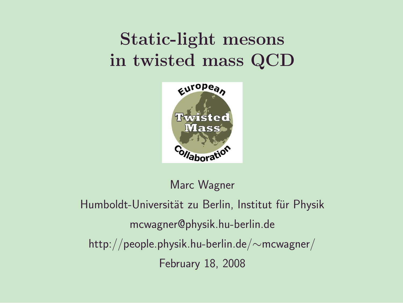### Static-light mesons in twisted mass QCD



Marc Wagner

Humboldt-Universität zu Berlin, Institut für Physik mcwagner@physik.hu-berlin.de http://people.physik.hu-berlin.de/∼mcwagner/ February 18, 2008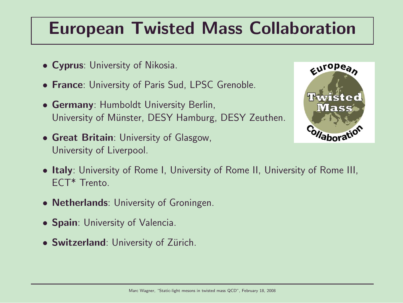### European Twisted Mass Collaboration

- Cyprus: University of Nikosia.
- France: University of Paris Sud, LPSC Grenoble.
- Germany: Humboldt University Berlin, University of Münster, DESY Hamburg, DESY Zeuthen.
- Great Britain: University of Glasgow, University of Liverpool.



- Italy: University of Rome I, University of Rome II, University of Rome III, ECT\* Trento.
- **Netherlands**: University of Groningen.
- Spain: University of Valencia.
- Switzerland: University of Zürich.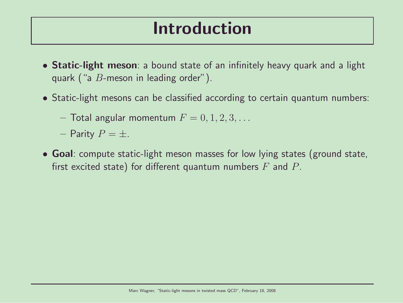### Introduction

- Static-light meson: a bound state of an infinitely heavy quark and a light quark ("a  $B$ -meson in leading order").
- Static-light mesons can be classified according to certain quantum numbers:
	- $-$  Total angular momentum  $F = 0, 1, 2, 3, \ldots$
	- Parity  $P = \pm$ .
- Goal: compute static-light meson masses for low lying states (ground state, first excited state) for different quantum numbers  $F$  and  $P$ .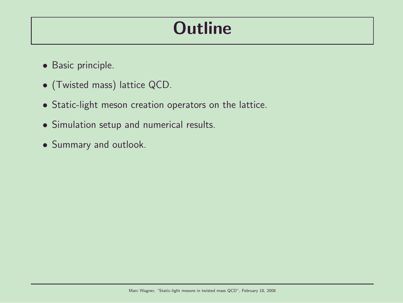### **Outline**

- Basic principle.
- (Twisted mass) lattice QCD.
- Static-light meson creation operators on the lattice.
- Simulation setup and numerical results.
- Summary and outlook.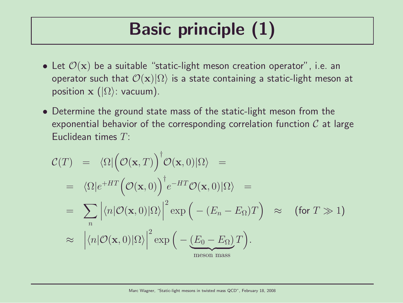# Basic principle (1)

- Let  $\mathcal{O}(\mathbf{x})$  be a suitable "static-light meson creation operator", i.e. an operator such that  $\mathcal{O}(\mathbf{x})|\Omega\rangle$  is a state containing a static-light meson at position  $\mathbf{x}$  ( $|\Omega\rangle$ : vacuum).
- Determine the ground state mass of the static-light meson from the exponential behavior of the corresponding correlation function  $C$  at large Euclidean times T:

$$
\mathcal{C}(T) = \langle \Omega | \big( \mathcal{O}(\mathbf{x}, T) \big)^{\dagger} \mathcal{O}(\mathbf{x}, 0) | \Omega \rangle =
$$
\n
$$
= \langle \Omega | e^{+HT} \big( \mathcal{O}(\mathbf{x}, 0) \big)^{\dagger} e^{-HT} \mathcal{O}(\mathbf{x}, 0) | \Omega \rangle =
$$
\n
$$
= \sum_{n} \left| \langle n | \mathcal{O}(\mathbf{x}, 0) | \Omega \rangle \right|^{2} \exp \big( - (E_{n} - E_{\Omega}) T \big) \approx \text{ (for } T \gg 1 \text{)}
$$
\n
$$
\approx \left| \langle n | \mathcal{O}(\mathbf{x}, 0) | \Omega \rangle \right|^{2} \exp \big( - \underbrace{(E_{0} - E_{\Omega}) T}_{\text{meson mass}} \big).
$$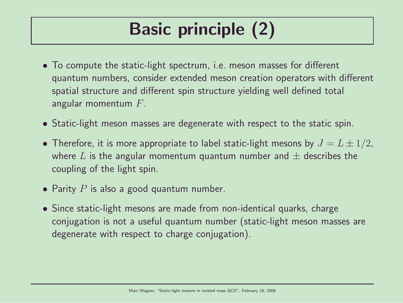# Basic principle (2)

- To compute the static-light spectrum, i.e. meson masses for different quantum numbers, consider extended meson creation operators with different spatial structure and different spin structure yielding well defined total angular momentum  $F$ .
- Static-light meson masses are degenerate with respect to the static spin.
- Therefore, it is more appropriate to label static-light mesons by  $J = L \pm 1/2$ , where L is the angular momentum quantum number and  $\pm$  describes the coupling of the light spin.
- Parity  $P$  is also a good quantum number.
- Since static-light mesons are made from non-identical quarks, charge conjugation is not a useful quantum number (static-light meson masses are degenerate with respect to charge conjugation).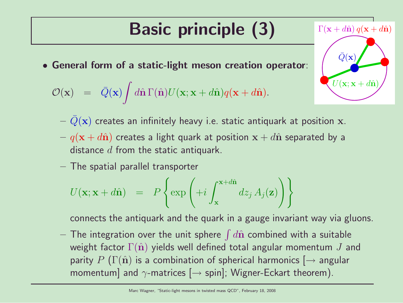# Basic principle (3)

• General form of a static-light meson creation operator:

$$
\mathcal{O}(\mathbf{x}) = \bar{Q}(\mathbf{x}) \int d\hat{\mathbf{n}} \Gamma(\hat{\mathbf{n}}) U(\mathbf{x}; \mathbf{x} + d\hat{\mathbf{n}}) q(\mathbf{x} + d\hat{\mathbf{n}}).
$$

–  $Q(\mathbf{x})$  creates an infinitely heavy i.e. static antiquark at position x.

 $U(\mathbf{x}; \mathbf{x} + d\hat{\mathbf{n}})$ 

 $\Gamma(\mathbf{x} + d\hat{\mathbf{n}}) q(\mathbf{x} + d\hat{\mathbf{n}})$ 

 $\bar{Q}(\mathbf{x})$ 

- $q(\mathbf{x} + d\hat{\mathbf{n}})$  creates a light quark at position  $\mathbf{x} + d\hat{\mathbf{n}}$  separated by a distance  $d$  from the static antiquark.
- The spatial parallel transporter

$$
U(\mathbf{x}; \mathbf{x} + d\hat{\mathbf{n}}) = P\left\{\exp\left(+i\int_{\mathbf{x}}^{\mathbf{x} + d\hat{\mathbf{n}}} dz_j A_j(\mathbf{z})\right)\right\}
$$

connects the antiquark and the quark in a gauge invariant way via gluons.

 $-$  The integration over the unit sphere  $\int d\hat{\mathbf{n}}$  combined with a suitable weight factor  $\Gamma(\hat{\mathbf{n}})$  yields well defined total angular momentum J and parity P ( $\Gamma(\hat{\mathbf{n}})$  is a combination of spherical harmonics  $\rightarrow$  angular momentum] and  $\gamma$ -matrices  $[\rightarrow$  spin]; Wigner-Eckart theorem).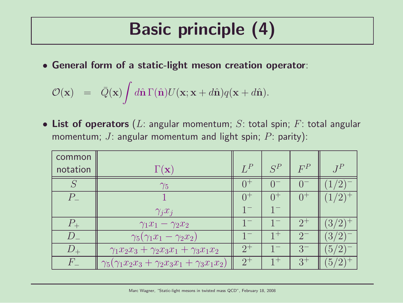# Basic principle (4)

• General form of a static-light meson creation operator:

$$
\mathcal{O}(\mathbf{x}) = \bar{Q}(\mathbf{x}) \int d\hat{\mathbf{n}} \Gamma(\hat{\mathbf{n}}) U(\mathbf{x}; \mathbf{x} + d\hat{\mathbf{n}}) q(\mathbf{x} + d\hat{\mathbf{n}}).
$$

• List of operators (L: angular momentum; S: total spin; F: total angular momentum; J: angular momentum and light spin;  $P$ : parity):

| common           |                                                                    |         |         |         |                |
|------------------|--------------------------------------------------------------------|---------|---------|---------|----------------|
| notation         | $\Gamma(\mathbf{x})$                                               | $L^P$   | $S^P$   | $F^P$   | $J^P$          |
|                  | $\gamma_5$                                                         | $0^+$   |         |         |                |
| $P_{\perp}$      |                                                                    | $0^{+}$ | $()^+$  | $0^{+}$ |                |
|                  | $\gamma_j x_j$                                                     |         |         |         |                |
|                  | $\gamma_1 x_1 - \gamma_2 x_2$                                      |         |         | $2^{+}$ | 3/2            |
| $\left( \right)$ | $\gamma_5(\gamma_1x_1-\gamma_2x_2)$                                |         | $1^{+}$ | $2^{-}$ | 3 <sup>1</sup> |
| $U_{+}$          | $\gamma_1 x_2 x_3 + \gamma_2 x_3 x_1 + \gamma_3 x_1 x_2$           | $2^+$   |         | $3-$    | 5 <sub>l</sub> |
| $H^+$            | $\gamma_5(\gamma_1 x_2 x_3 + \gamma_2 x_3 x_1 + \gamma_3 x_1 x_2)$ | $2^+$   | $1^{+}$ | $3^+$   | $\overline{5}$ |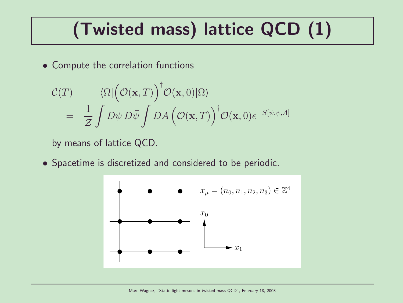# (Twisted mass) lattice QCD (1)

• Compute the correlation functions

$$
\mathcal{C}(T) = \langle \Omega | \left( \mathcal{O}(\mathbf{x}, T) \right)^{\dagger} \mathcal{O}(\mathbf{x}, 0) | \Omega \rangle =
$$
  
= 
$$
\frac{1}{\mathcal{Z}} \int D\psi D\bar{\psi} \int DA \left( \mathcal{O}(\mathbf{x}, T) \right)^{\dagger} \mathcal{O}(\mathbf{x}, 0) e^{-S[\psi, \bar{\psi}, A]}
$$

by means of lattice QCD.

• Spacetime is discretized and considered to be periodic.

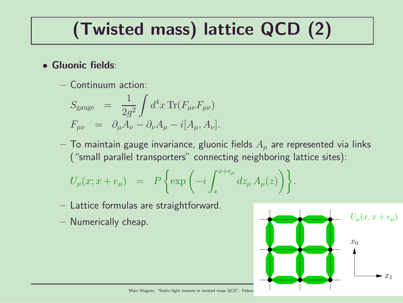# (Twisted mass) lattice QCD (2)

- Gluonic fields:
	- Continuum action:

$$
S_{\text{gauge}} = \frac{1}{2g^2} \int d^4x \,\text{Tr}(F_{\mu\nu}F_{\mu\nu})
$$
  

$$
F_{\mu\nu} = \partial_{\mu}A_{\nu} - \partial_{\nu}A_{\mu} - i[A_{\mu}, A_{\nu}].
$$

– To maintain gauge invariance, gluonic fields  $A_\mu$  are represented via links ("small parallel transporters" connecting neighboring lattice sites):

$$
U_{\mu}(x; x + e_{\mu}) = P\left\{\exp\left(-i \int_{x}^{x+e_{\mu}} dz_{\mu} A_{\mu}(z)\right)\right\}.
$$

- Lattice formulas are straightforward.
- Numerically cheap.



Marc Wagner, "Static-light mesons in twisted mass QCD", Februa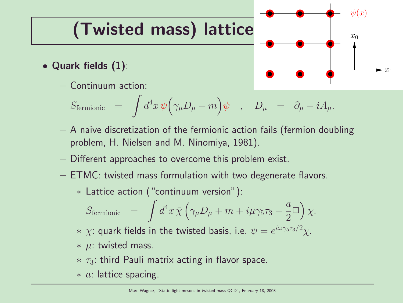# (Twisted mass) lattice

- Quark fields (1):
	- Continuum action:

$$
S_{\rm fermionic} \;\; = \;\; \int d^4x \, \bar{\psi} \Big( \gamma_\mu D_\mu + m \Big) \psi \quad , \quad D_\mu \;\; = \;\; \partial_\mu - i A_\mu .
$$

– A naive discretization of the fermionic action fails (fermion doubling problem, H. Nielsen and M. Ninomiya, 1981).

 $x_1$ 

 $x_0$ 

 $\psi(x)$ 

- Different approaches to overcome this problem exist.
- ETMC: twisted mass formulation with two degenerate flavors.

\* Lattice action ("continuum version"):  
\n
$$
S_{\text{fermionic}} = \int d^4x \, \bar{\chi} \left( \gamma_\mu D_\mu + m + i\mu \gamma_5 \tau_3 - \frac{a}{2} \Box \right) \chi.
$$

 $*$   $\chi$ : quark fields in the twisted basis, i.e.  $\psi=e^{i\omega\gamma_5\tau_3/2}\chi$ .

- $*$  µ: twisted mass.
- $*$   $\tau_3$ : third Pauli matrix acting in flavor space.
- $* a$ : lattice spacing.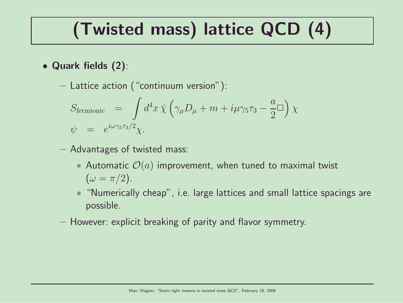# (Twisted mass) lattice QCD (4)

- Quark fields (2):
	- Lattice action ("continuum version"):

$$
S_{\text{fermionic}} = \int d^4x \,\overline{\chi} \left( \gamma_\mu D_\mu + m + i\mu \gamma_5 \tau_3 - \frac{a}{2} \Box \right) \chi
$$
  

$$
\psi = e^{i\omega \gamma_5 \tau_3/2} \chi.
$$

- Advantages of twisted mass:
	- ∗ Automatic  $O(a)$  improvement, when tuned to maximal twist  $(\omega = \pi/2).$
	- ∗ "Numerically cheap", i.e. large lattices and small lattice spacings are possible.
- However: explicit breaking of parity and flavor symmetry.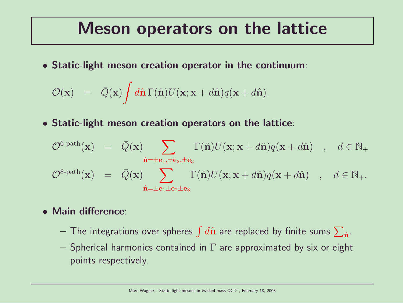#### Meson operators on the lattice

• Static-light meson creation operator in the continuum:

$$
\mathcal{O}(\mathbf{x}) = \bar{Q}(\mathbf{x}) \int d\hat{\mathbf{n}} \Gamma(\hat{\mathbf{n}}) U(\mathbf{x}; \mathbf{x} + d\hat{\mathbf{n}}) q(\mathbf{x} + d\hat{\mathbf{n}}).
$$

• Static-light meson creation operators on the lattice:

$$
\mathcal{O}^{\text{6-path}}(\mathbf{x}) = \bar{Q}(\mathbf{x}) \sum_{\hat{\mathbf{n}}=\pm \mathbf{e}_1, \pm \mathbf{e}_2, \pm \mathbf{e}_3} \Gamma(\hat{\mathbf{n}}) U(\mathbf{x}; \mathbf{x} + d\hat{\mathbf{n}}) q(\mathbf{x} + d\hat{\mathbf{n}}) , d \in \mathbb{N}_+
$$
  

$$
\mathcal{O}^{\text{8-path}}(\mathbf{x}) = \bar{Q}(\mathbf{x}) \sum_{\hat{\mathbf{n}}=\pm \mathbf{e}_1 \pm \mathbf{e}_2 \pm \mathbf{e}_3} \Gamma(\hat{\mathbf{n}}) U(\mathbf{x}; \mathbf{x} + d\hat{\mathbf{n}}) q(\mathbf{x} + d\hat{\mathbf{n}}) , d \in \mathbb{N}_+.
$$

#### • Main difference:

- $-$  The integrations over spheres  $\int d\hat{\bf n}$  are replaced by finite sums  $\sum_{\hat{\bf n}}.$
- Spherical harmonics contained in  $\Gamma$  are approximated by six or eight points respectively.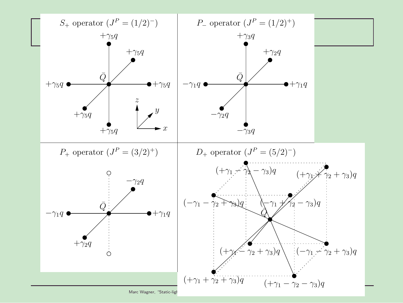

Marc Wagner, "Static-light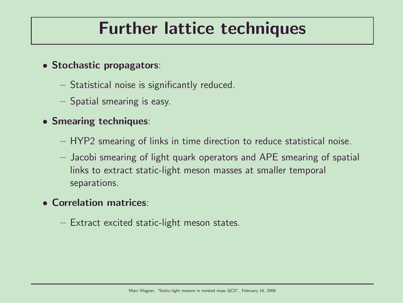### Further lattice techniques

- Stochastic propagators:
	- Statistical noise is significantly reduced.
	- Spatial smearing is easy.
- Smearing techniques:
	- HYP2 smearing of links in time direction to reduce statistical noise.
	- Jacobi smearing of light quark operators and APE smearing of spatial links to extract static-light meson masses at smaller temporal separations.
- Correlation matrices:
	- Extract excited static-light meson states.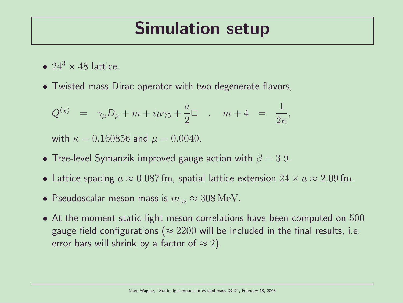#### Simulation setup

- $24^3 \times 48$  lattice.
- Twisted mass Dirac operator with two degenerate flavors,

$$
Q^{(\chi)} = \gamma_{\mu} D_{\mu} + m + i\mu\gamma_5 + \frac{a}{2} \Box , \quad m + 4 = \frac{1}{2\kappa},
$$

with  $\kappa = 0.160856$  and  $\mu = 0.0040$ .

- Tree-level Symanzik improved gauge action with  $\beta = 3.9$ .
- Lattice spacing  $a \approx 0.087$  fm, spatial lattice extension  $24 \times a \approx 2.09$  fm.
- Pseudoscalar meson mass is  $m_{\text{ps}} \approx 308 \text{ MeV}$ .
- At the moment static-light meson correlations have been computed on 500 gauge field configurations ( $\approx 2200$  will be included in the final results, i.e. error bars will shrink by a factor of  $\approx 2$ ).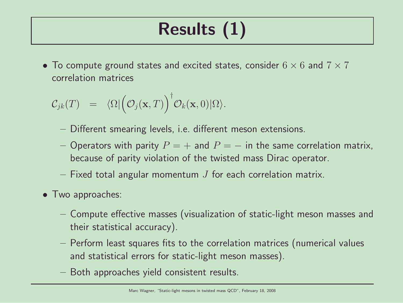# Results (1)

• To compute ground states and excited states, consider  $6 \times 6$  and  $7 \times 7$ correlation matrices

$$
C_{jk}(T) = \langle \Omega | \big( \mathcal{O}_j(\mathbf{x}, T) \big)^{\dagger} \mathcal{O}_k(\mathbf{x}, 0) | \Omega \rangle.
$$

- Different smearing levels, i.e. different meson extensions.
- Operators with parity  $P = +$  and  $P = -$  in the same correlation matrix, because of parity violation of the twisted mass Dirac operator.
- $-$  Fixed total angular momentum  $J$  for each correlation matrix.
- Two approaches:
	- Compute effective masses (visualization of static-light meson masses and their statistical accuracy).
	- Perform least squares fits to the correlation matrices (numerical values and statistical errors for static-light meson masses).
	- Both approaches yield consistent results.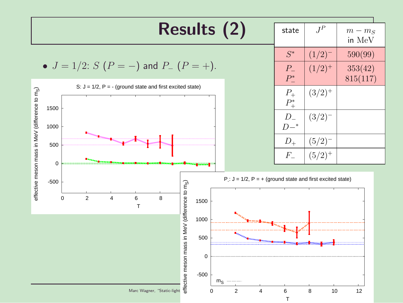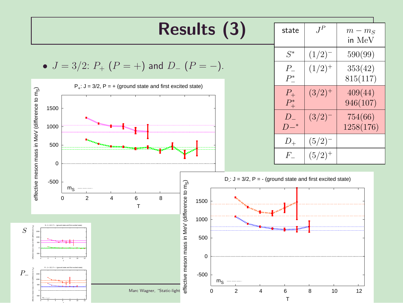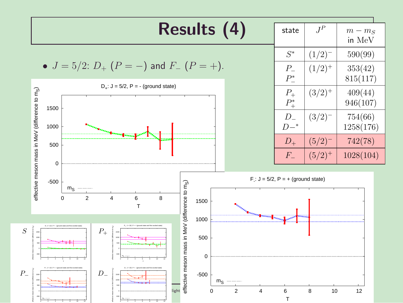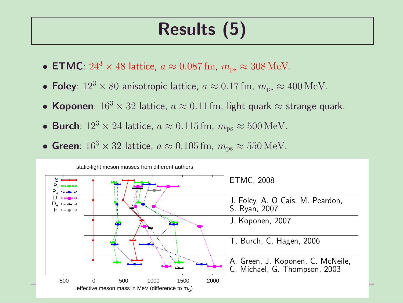# Results (5)

- ETMC:  $24^3 \times 48$  lattice,  $a \approx 0.087$  fm,  $m_{\text{ps}} \approx 308$  MeV.
- Foley:  $12^3 \times 80$  anisotropic lattice,  $a \approx 0.17$  fm,  $m_{\text{ps}} \approx 400 \text{ MeV}$ .
- Koponen:  $16^3 \times 32$  lattice,  $a \approx 0.11$  fm, light quark  $\approx$  strange quark.
- Burch:  $12^3 \times 24$  lattice,  $a \approx 0.115$  fm,  $m_{\text{ps}} \approx 500$  MeV.
- Green:  $16^3 \times 32$  lattice,  $a \approx 0.105$  fm,  $m_{\text{ps}} \approx 550$  MeV.

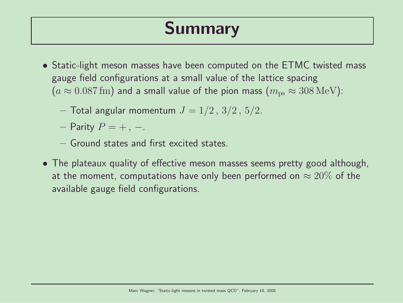### Summary

- Static-light meson masses have been computed on the ETMC twisted mass gauge field configurations at a small value of the lattice spacing  $(a \approx 0.087$  fm) and a small value of the pion mass  $(m_{\text{ps}} \approx 308 \text{ MeV})$ :
	- Total angular momentum  $J = 1/2, 3/2, 5/2$ .
	- Parity  $P = +$ , –.
	- Ground states and first excited states.
- The plateaux quality of effective meson masses seems pretty good although, at the moment, computations have only been performed on  $\approx 20\%$  of the available gauge field configurations.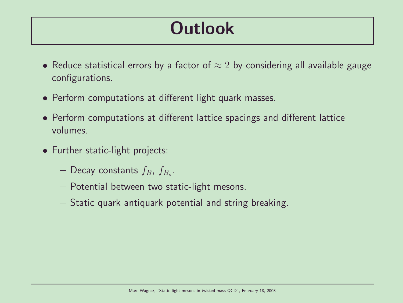# **Outlook**

- Reduce statistical errors by a factor of  $\approx 2$  by considering all available gauge configurations.
- Perform computations at different light quark masses.
- Perform computations at different lattice spacings and different lattice volumes.
- Further static-light projects:
	- $-$  Decay constants  $f_B$ ,  $f_{B_s}$ .
	- Potential between two static-light mesons.
	- Static quark antiquark potential and string breaking.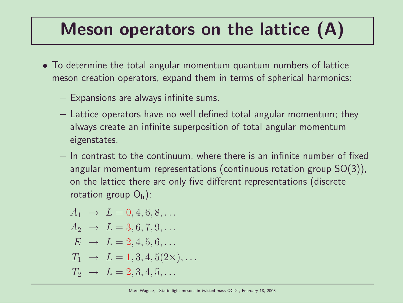### Meson operators on the lattice (A)

- To determine the total angular momentum quantum numbers of lattice meson creation operators, expand them in terms of spherical harmonics:
	- Expansions are always infinite sums.
	- Lattice operators have no well defined total angular momentum; they always create an infinite superposition of total angular momentum eigenstates.
	- In contrast to the continuum, where there is an infinite number of fixed angular momentum representations (continuous rotation group SO(3)), on the lattice there are only five different representations (discrete rotation group  $O_h$ ):

$$
A_1 \rightarrow L = 0, 4, 6, 8, ...
$$
  
\n
$$
A_2 \rightarrow L = 3, 6, 7, 9, ...
$$
  
\n
$$
E \rightarrow L = 2, 4, 5, 6, ...
$$
  
\n
$$
T_1 \rightarrow L = 1, 3, 4, 5(2 \times), ...
$$
  
\n
$$
T_2 \rightarrow L = 2, 3, 4, 5, ...
$$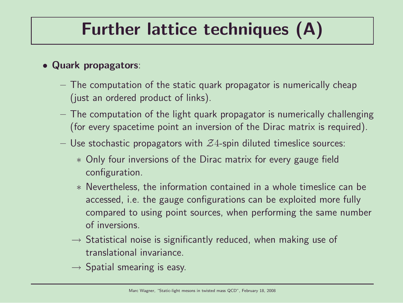### Further lattice techniques (A)

#### • Quark propagators:

- The computation of the static quark propagator is numerically cheap (just an ordered product of links).
- The computation of the light quark propagator is numerically challenging (for every spacetime point an inversion of the Dirac matrix is required).
- Use stochastic propagators with  $Z_4$ -spin diluted timeslice sources:
	- ∗ Only four inversions of the Dirac matrix for every gauge field configuration.
	- ∗ Nevertheless, the information contained in a whole timeslice can be accessed, i.e. the gauge configurations can be exploited more fully compared to using point sources, when performing the same number of inversions.
	- $\rightarrow$  Statistical noise is significantly reduced, when making use of translational invariance.
	- $\rightarrow$  Spatial smearing is easy.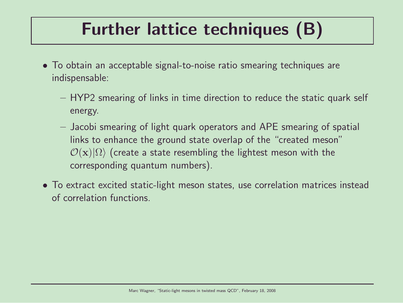## Further lattice techniques (B)

- To obtain an acceptable signal-to-noise ratio smearing techniques are indispensable:
	- HYP2 smearing of links in time direction to reduce the static quark self energy.
	- Jacobi smearing of light quark operators and APE smearing of spatial links to enhance the ground state overlap of the "created meson"  $\mathcal{O}(x)|\Omega\rangle$  (create a state resembling the lightest meson with the corresponding quantum numbers).
- To extract excited static-light meson states, use correlation matrices instead of correlation functions.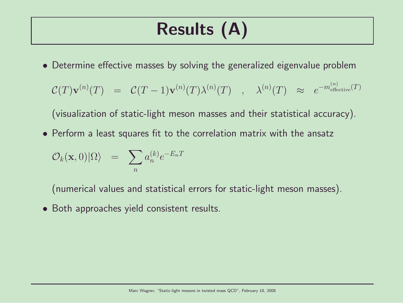# Results (A)

• Determine effective masses by solving the generalized eigenvalue problem

$$
\mathcal{C}(T)\mathbf{v}^{(n)}(T) \;\; = \;\; \mathcal{C}(T-1)\mathbf{v}^{(n)}(T)\lambda^{(n)}(T) \quad , \quad \lambda^{(n)}(T) \quad \approx \quad e^{-m_{\text{effective}}^{(n)}(T)}
$$

(visualization of static-light meson masses and their statistical accuracy).

• Perform a least squares fit to the correlation matrix with the ansatz

$$
\mathcal{O}_k(\mathbf{x},0)|\Omega\rangle \;\; = \;\; \sum_n a_n^{(k)} e^{-E_n T}
$$

(numerical values and statistical errors for static-light meson masses).

• Both approaches yield consistent results.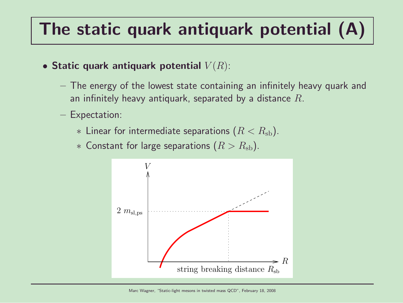# The static quark antiquark potential (A)

- Static quark antiquark potential  $V(R)$ :
	- The energy of the lowest state containing an infinitely heavy quark and an infinitely heavy antiquark, separated by a distance  $R$ .
	- Expectation:
		- $*$  Linear for intermediate separations  $(R < R_{\rm sh})$ .
		- ∗ Constant for large separations  $(R > R_{sb})$ .

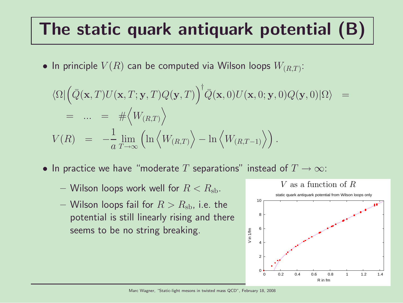# The static quark antiquark potential (B)

 $\bullet$  In principle  $V(R)$  can be computed via Wilson loops  $W_{(R,T)}$ :

$$
\langle \Omega | \left( \bar{Q}(\mathbf{x}, T) U(\mathbf{x}, T; \mathbf{y}, T) Q(\mathbf{y}, T) \right)^{\dagger} \bar{Q}(\mathbf{x}, 0) U(\mathbf{x}, 0; \mathbf{y}, 0) Q(\mathbf{y}, 0) | \Omega \rangle =
$$
  
\n
$$
= ... = # \langle W_{(R,T)} \rangle
$$
  
\n
$$
V(R) = -\frac{1}{a} \lim_{T \to \infty} \left( \ln \langle W_{(R,T)} \rangle - \ln \langle W_{(R,T-1)} \rangle \right).
$$

- In practice we have "moderate T separations" instead of  $T \to \infty$ :
	- Wilson loops work well for  $R < R_{\rm sh}$ .
	- Wilson loops fail for  $R > R_{\rm sh}$ , i.e. the potential is still linearly rising and there seems to be no string breaking.

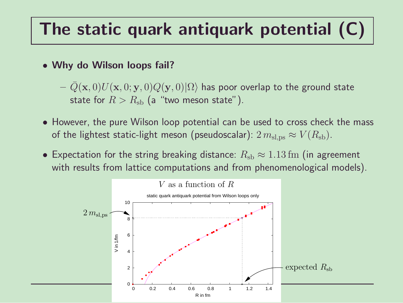# The static quark antiquark potential (C)

• Why do Wilson loops fail?

 $- Q(\mathbf{x}, 0)U(\mathbf{x}, 0; \mathbf{y}, 0)Q(\mathbf{y}, 0)|\Omega\rangle$  has poor overlap to the ground state state for  $R > R_{\rm sb}$  (a "two meson state").

- However, the pure Wilson loop potential can be used to cross check the mass of the lightest static-light meson (pseudoscalar):  $2 m<sub>sl,ps</sub> \approx V(R<sub>sb</sub>)$ .
- Expectation for the string breaking distance:  $R_{sb} \approx 1.13$  fm (in agreement with results from lattice computations and from phenomenological models).